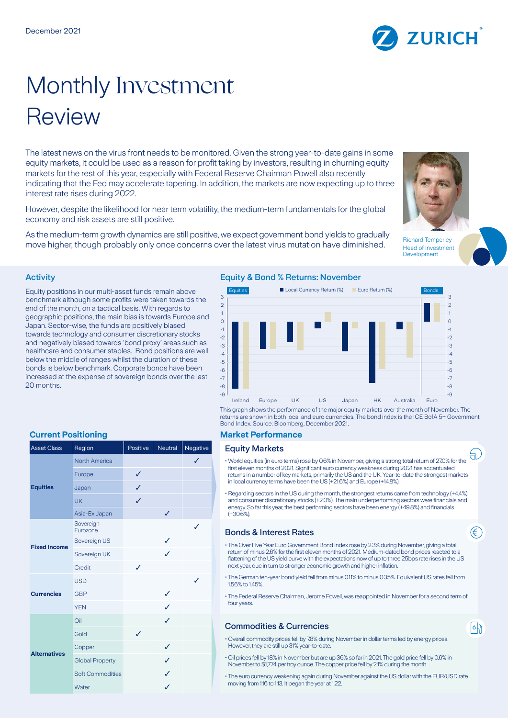# Monthly Investment Review

The latest news on the virus front needs to be monitored. Given the strong year-to-date gains in some equity markets, it could be used as a reason for profit taking by investors, resulting in churning equity markets for the rest of this year, especially with Federal Reserve Chairman Powell also recently indicating that the Fed may accelerate tapering. In addition, the markets are now expecting up to three interest rate rises during 2022.

However, despite the likelihood for near term volatility, the medium-term fundamentals for the global economy and risk assets are still positive.

As the medium-term growth dynamics are still positive, we expect government bond yields to gradually As the mediam-term growth dynamics are suil positive, we expect government bond yields to gradually<br>move higher, though probably only once concerns over the latest virus mutation have diminished.

### Activity

Equity positions in our multi-asset funds remain above benchmark although some profits were taken towards the end of the month, on a tactical basis. With regards to geographic positions, the main bias is towards Europe and Japan. Sector-wise, the funds are positively biased towards technology and consumer discretionary stocks and negatively biased towards 'bond proxy' areas such as healthcare and consumer staples. Bond positions are well below the middle of ranges whilst the duration of these bonds is below benchmark. Corporate bonds have been increased at the expense of sovereign bonds over the last 20 months.

# **Current Positioning Current Positioning Current Performance**

| <b>Asset Class</b>  | Region                  | Positive | Neutral | Negative     |
|---------------------|-------------------------|----------|---------|--------------|
| <b>Equities</b>     | <b>North America</b>    |          |         | $\checkmark$ |
|                     | Europe                  | ✓        |         |              |
|                     | Japan                   | J        |         |              |
|                     | <b>UK</b>               | ✓        |         |              |
|                     | Asia-Ex Japan           |          | ✓       |              |
| <b>Fixed Income</b> | Sovereign<br>Eurozone   |          |         | ✓            |
|                     | Sovereign US            |          | ✓       |              |
|                     | Sovereign UK            |          | J       |              |
|                     | Credit                  | J        |         |              |
| <b>Currencies</b>   | <b>USD</b>              |          |         | ✓            |
|                     | <b>GBP</b>              |          | ✓       |              |
|                     | <b>YEN</b>              |          | ℐ       |              |
| <b>Alternatives</b> | Oil                     |          | ✓       |              |
|                     | Gold                    | ✓        |         |              |
|                     | Copper                  |          | ✓       |              |
|                     | <b>Global Property</b>  |          | ✓       |              |
|                     | <b>Soft Commodities</b> |          | ✓       |              |
|                     | Water                   |          | ✓       |              |

### Equity & Bond % Returns: November



This graph shows the performance of the major equity markets over the month of November. The returns are shown in both local and euro currencies. The bond index is the ICE BofA 5+ Government Bond Index. Source: Bloomberg, December 2021.

## **Equity Markets**

- World equities (in euro terms) rose by 0.6% in November, giving a strong total return of 27.0% for the first eleven months of 2021. Significant euro currency weakness during 2021 has accentuated returns in a number of key markets, primarily the US and the UK. Year-to-date the strongest markets in local currency terms have been the US (+21.6%) and Europe (+14.8%).
- Regarding sectors in the US during the month, the strongest returns came from technology (+4.4%) and consumer discretionary stocks (+2.0%). The main underperforming sectors were financials and energy. So far this year, the best performing sectors have been energy (+49.8%) and financials  $(430.6\%)$

### **Bonds & Interest Rates**

- The Over Five Year Euro Government Bond Index rose by 2.3% during November, giving a total return of minus 2.6% for the first eleven months of 2021. Medium-dated bond prices reacted to a flattening of the US yield curve with the expectations now of up to three 25bps rate rises in the US next year, due in turn to stronger economic growth and higher inflation.
- The German ten-year bond yield fell from minus 0.11% to minus 0.35%. Equivalent US rates fell from 156% to 145%
- The Federal Reserve Chairman, Jerome Powell, was reappointed in November for a second term of four years.

### Commodities & Currencies

- Overall commodity prices fell by 7.8% during November in dollar terms led by energy prices. However, they are still up 31% year-to-date.
- Oil prices fell by 18% in November but are up 36% so far in 2021. The gold price fell by 0.6% in November to \$1,774 per troy ounce. The copper price fell by 2.1% during the month.
- The euro currency weakening again during November against the US dollar with the EUR/USD rate moving from 1.16 to 1.13. It began the year at 1.22.







₩.

∈

 $|\circ|$ 

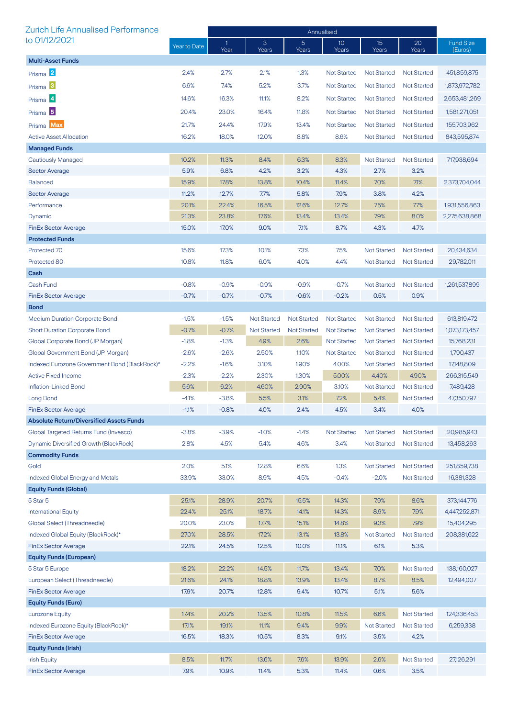| Zurich Life Annualised Performance                          |                | Annualised           |                    |                         |                          |                          |                            |                             |
|-------------------------------------------------------------|----------------|----------------------|--------------------|-------------------------|--------------------------|--------------------------|----------------------------|-----------------------------|
| to 01/12/2021                                               | Year to Date   | $\mathbf{1}$<br>Year | 3<br>Years         | $\overline{5}$<br>Years | 10 <sup>°</sup><br>Years | 15 <sup>2</sup><br>Years | 20<br>Years                | <b>Fund Size</b><br>(Euros) |
| <b>Multi-Asset Funds</b>                                    |                |                      |                    |                         |                          |                          |                            |                             |
| Prisma <sup>2</sup>                                         | 2.4%           | 2.7%                 | 2.1%               | 1.3%                    | <b>Not Started</b>       | <b>Not Started</b>       | <b>Not Started</b>         | 451,859,875                 |
| Prisma <sup>3</sup>                                         | 6.6%           | 7.4%                 | 5.2%               | 3.7%                    | <b>Not Started</b>       | <b>Not Started</b>       | <b>Not Started</b>         | 1,873,972,782               |
| Prisma <sup>4</sup>                                         | 14.6%          | 16.3%                | 11.1%              | 8.2%                    | <b>Not Started</b>       | <b>Not Started</b>       | <b>Not Started</b>         | 2,653,481,269               |
| Prisma <sup>5</sup>                                         | 20.4%          | 23.0%                | 16.4%              | 11.8%                   | <b>Not Started</b>       | <b>Not Started</b>       | <b>Not Started</b>         | 1,581,271,051               |
|                                                             |                |                      |                    |                         |                          |                          |                            |                             |
| Prisma Max                                                  | 21.7%          | 24.4%                | 17.9%              | 13.4%                   | <b>Not Started</b>       | <b>Not Started</b>       | <b>Not Started</b>         | 155,703,962                 |
| <b>Active Asset Allocation</b>                              | 16.2%          | 18.0%                | 12.0%              | 8.8%                    | 8.6%                     | <b>Not Started</b>       | <b>Not Started</b>         | 843,595,874                 |
| <b>Managed Funds</b><br><b>Cautiously Managed</b>           | 10.2%          | 11.3%                | 8.4%               | 6.3%                    | 8.3%                     | <b>Not Started</b>       | <b>Not Started</b>         | 717,938,694                 |
| <b>Sector Average</b>                                       | 5.9%           | 6.8%                 | 4.2%               | 3.2%                    | 4.3%                     | 2.7%                     | 3.2%                       |                             |
| <b>Balanced</b>                                             | 15.9%          | 17.8%                | 13.8%              | 10.4%                   | 11.4%                    | 7.0%                     | 7.1%                       | 2,373,704,044               |
| <b>Sector Average</b>                                       | 11.2%          | 12.7%                | 7.7%               | 5.8%                    | 7.9%                     | 3.8%                     | 4.2%                       |                             |
| Performance                                                 | 20.1%          | 22.4%                | 16.5%              | 12.6%                   | 12.7%                    | 7.5%                     | 7.7%                       | 1,931,556,863               |
| Dynamic                                                     | 21.3%          | 23.8%                | 17.6%              | 13.4%                   | 13.4%                    | 7.9%                     | 8.0%                       | 2,275,638,868               |
| <b>FinEx Sector Average</b>                                 | 15.0%          | 17.0%                | 9.0%               | 7.1%                    | 8.7%                     | 4.3%                     | 4.7%                       |                             |
| <b>Protected Funds</b>                                      |                |                      |                    |                         |                          |                          |                            |                             |
| Protected 70                                                | 15.6%          | 17.3%                | 10.1%              | 7.3%                    | 7.5%                     | <b>Not Started</b>       | <b>Not Started</b>         | 20,434,634                  |
| Protected 80                                                | 10.8%          | 11.8%                | 6.0%               | 4.0%                    | 4.4%                     | <b>Not Started</b>       | <b>Not Started</b>         | 29,782,011                  |
| Cash                                                        |                |                      |                    |                         |                          |                          |                            |                             |
| Cash Fund                                                   | $-0.8%$        | $-0.9%$              | $-0.9%$            | $-0.9%$                 | $-0.7%$                  | <b>Not Started</b>       | <b>Not Started</b>         | 1,261,537,899               |
| <b>FinEx Sector Average</b>                                 | $-0.7%$        | $-0.7%$              | $-0.7%$            | $-0.6%$                 | $-0.2%$                  | 0.5%                     | 0.9%                       |                             |
| <b>Bond</b>                                                 |                |                      |                    |                         |                          |                          |                            |                             |
| <b>Medium Duration Corporate Bond</b>                       | $-1.5%$        | $-1.5%$              | <b>Not Started</b> | <b>Not Started</b>      | <b>Not Started</b>       | <b>Not Started</b>       | <b>Not Started</b>         | 613,819,472                 |
| <b>Short Duration Corporate Bond</b>                        | $-0.7%$        | $-0.7%$              | <b>Not Started</b> | <b>Not Started</b>      | <b>Not Started</b>       | <b>Not Started</b>       | <b>Not Started</b>         | 1,073,173,457               |
| Global Corporate Bond (JP Morgan)                           | $-1.8%$        | $-1.3%$              | 4.9%               | 2.6%                    | <b>Not Started</b>       | <b>Not Started</b>       | <b>Not Started</b>         | 15,768,231                  |
| Global Government Bond (JP Morgan)                          | $-2.6%$        | $-2.6%$              | 2.50%              | 1.10%                   | <b>Not Started</b>       | <b>Not Started</b>       | <b>Not Started</b>         | 1,790,437                   |
| Indexed Eurozone Government Bond (BlackRock)*               | $-2.2%$        | $-1.6%$              | 3.10%              | 1.90%                   | 4.00%                    | <b>Not Started</b>       | <b>Not Started</b>         | 17,148,809                  |
| <b>Active Fixed Income</b>                                  | $-2.3%$        | $-2.2%$              | 2.30%              | 1.30%                   | 5.00%                    | 4.40%                    | 4.90%                      | 266,315,549                 |
| Inflation-Linked Bond                                       | 5.6%           | 6.2%                 | 4.60%              | 2.90%                   | 3.10%                    | <b>Not Started</b>       | <b>Not Started</b>         | 7,489,428                   |
| Long Bond                                                   | $-4.1%$        | $-3.8%$              | 5.5%               | 3.1%                    | 7.2%                     | 5.4%                     | <b>Not Started</b>         | 47,350,797                  |
| <b>FinEx Sector Average</b>                                 | $-1.1%$        | $-0.8%$              | 4.0%               | 2.4%                    | 4.5%                     | 3.4%                     | 4.0%                       |                             |
| <b>Absolute Return/Diversified Assets Funds</b>             |                |                      |                    |                         |                          |                          |                            |                             |
| Global Targeted Returns Fund (Invesco)                      | $-3.8%$        | $-3.9%$              | $-1.0%$            | $-1.4%$                 | <b>Not Started</b>       | <b>Not Started</b>       | <b>Not Started</b>         | 20,985,943                  |
| Dynamic Diversified Growth (BlackRock)                      | 2.8%           | 4.5%                 | 5.4%               | 4.6%                    | 3.4%                     | <b>Not Started</b>       | <b>Not Started</b>         | 13,458,263                  |
| <b>Commodity Funds</b>                                      |                |                      |                    |                         |                          |                          |                            |                             |
| Gold                                                        | 2.0%           | 5.1%                 | 12.8%              | 6.6%                    | 1.3%                     | <b>Not Started</b>       | <b>Not Started</b>         | 251,859,738                 |
| Indexed Global Energy and Metals                            | 33.9%          | 33.0%                | 8.9%               | 4.5%                    | $-0.4%$                  | $-2.0%$                  | <b>Not Started</b>         | 16,381,328                  |
| <b>Equity Funds (Global)</b>                                |                |                      |                    |                         |                          |                          |                            |                             |
| 5 Star 5                                                    | 25.1%          | 28.9%                | 20.7%              | 15.5%                   | 14.3%                    | 7.9%                     | 8.6%                       | 373,144,776                 |
| <b>International Equity</b><br>Global Select (Threadneedle) | 22.4%<br>20.0% | 25.1%                | 18.7%              | 14.1%                   | 14.3%                    | 8.9%<br>9.3%             | 7.9%                       | 4,447,252,871               |
| Indexed Global Equity (BlackRock)*                          | 27.0%          | 23.0%<br>28.5%       | 17.7%<br>17.2%     | 15.1%<br>13.1%          | 14.8%<br>13.8%           | <b>Not Started</b>       | 7.9%<br><b>Not Started</b> | 15,404,295<br>208,381,622   |
| <b>FinEx Sector Average</b>                                 | 22.1%          | 24.5%                | 12.5%              | 10.0%                   | 11.1%                    | 6.1%                     | 5.3%                       |                             |
| <b>Equity Funds (European)</b>                              |                |                      |                    |                         |                          |                          |                            |                             |
| 5 Star 5 Europe                                             | 18.2%          | 22.2%                | 14.5%              | 11.7%                   | 13.4%                    | 7.0%                     | <b>Not Started</b>         | 138,160,027                 |
| European Select (Threadneedle)                              | 21.6%          | 24.1%                | 18.8%              | 13.9%                   | 13.4%                    | 8.7%                     | 8.5%                       | 12,494,007                  |
| <b>FinEx Sector Average</b>                                 | 17.9%          | 20.7%                | 12.8%              | 9.4%                    | 10.7%                    | 5.1%                     | 5.6%                       |                             |
| <b>Equity Funds (Euro)</b>                                  |                |                      |                    |                         |                          |                          |                            |                             |
| <b>Eurozone Equity</b>                                      | 17.4%          | 20.2%                | 13.5%              | 10.8%                   | 11.5%                    | 6.6%                     | <b>Not Started</b>         | 124,336,453                 |
| Indexed Eurozone Equity (BlackRock)*                        | 17.1%          | 19.1%                | 11.1%              | 9.4%                    | 9.9%                     | <b>Not Started</b>       | <b>Not Started</b>         | 6,259,338                   |
| <b>FinEx Sector Average</b>                                 | 16.5%          | 18.3%                | 10.5%              | 8.3%                    | 9.1%                     | 3.5%                     | 4.2%                       |                             |
| <b>Equity Funds (Irish)</b>                                 |                |                      |                    |                         |                          |                          |                            |                             |
| <b>Irish Equity</b>                                         | 8.5%           | 11.7%                | 13.6%              | 7.6%                    | 13.9%                    | 2.6%                     | <b>Not Started</b>         | 27,126,291                  |
| <b>FinEx Sector Average</b>                                 | 7.9%           | 10.9%                | 11.4%              | 5.3%                    | 11.4%                    | 0.6%                     | 3.5%                       |                             |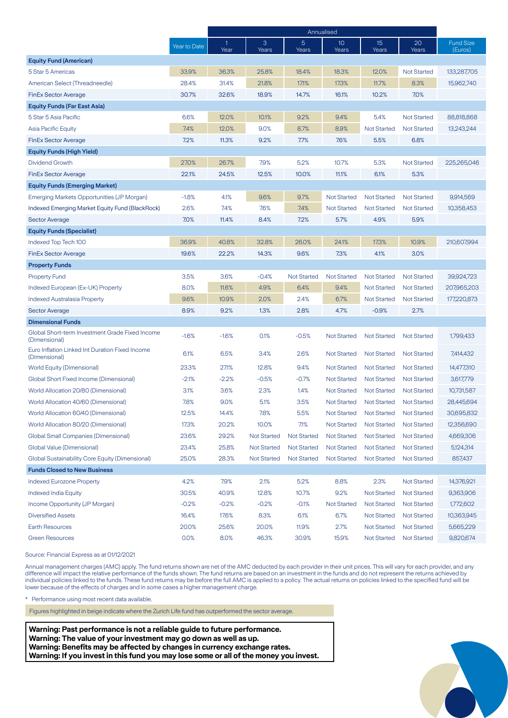|                                                                  |              | Annualised |                    |                    |                          |                          |                    |                             |
|------------------------------------------------------------------|--------------|------------|--------------------|--------------------|--------------------------|--------------------------|--------------------|-----------------------------|
|                                                                  | Year to Date | 1<br>Year  | 3<br>Years         | 5<br>Years         | 10 <sup>°</sup><br>Years | 15 <sup>2</sup><br>Years | 20<br>Years        | <b>Fund Size</b><br>(Euros) |
| <b>Equity Fund (American)</b>                                    |              |            |                    |                    |                          |                          |                    |                             |
| 5 Star 5 Americas                                                | 33.9%        | 36.3%      | 25.8%              | 18.4%              | 18.3%                    | 12.0%                    | <b>Not Started</b> | 133,287,705                 |
| American Select (Threadneedle)                                   | 28.4%        | 31.4%      | 21.8%              | 17.1%              | 17.3%                    | 11.7%                    | 8.3%               | 15,962,740                  |
| <b>FinEx Sector Average</b>                                      | 30.7%        | 32.6%      | 18.9%              | 14.7%              | 16.1%                    | 10.2%                    | 7.0%               |                             |
| <b>Equity Funds (Far East Asia)</b>                              |              |            |                    |                    |                          |                          |                    |                             |
| 5 Star 5 Asia Pacific                                            | 6.6%         | 12.0%      | 10.1%              | 9.2%               | 9.4%                     | 5.4%                     | <b>Not Started</b> | 88,818,868                  |
| Asia Pacific Equity                                              | 7.4%         | 12.0%      | 9.0%               | 8.7%               | 8.9%                     | <b>Not Started</b>       | <b>Not Started</b> | 13,243,244                  |
| <b>FinEx Sector Average</b>                                      | 7.2%         | 11.3%      | 9.2%               | 7.7%               | 7.6%                     | 5.5%                     | 6.8%               |                             |
| <b>Equity Funds (High Yield)</b>                                 |              |            |                    |                    |                          |                          |                    |                             |
| Dividend Growth                                                  | 27.0%        | 26.7%      | 7.9%               | 5.2%               | 10.7%                    | 5.3%                     | <b>Not Started</b> | 225,265,046                 |
| <b>FinEx Sector Average</b>                                      | 22.1%        | 24.5%      | 12.5%              | 10.0%              | 11.1%                    | 6.1%                     | 5.3%               |                             |
| <b>Equity Funds (Emerging Market)</b>                            |              |            |                    |                    |                          |                          |                    |                             |
| Emerging Markets Opportunities (JP Morgan)                       | $-1.8%$      | 4.1%       | 9.6%               | 9.7%               | <b>Not Started</b>       | <b>Not Started</b>       | <b>Not Started</b> | 9.914.569                   |
| <b>Indexed Emerging Market Equity Fund (BlackRock)</b>           | 2.6%         | 7.4%       | 7.6%               | 7.4%               | <b>Not Started</b>       | <b>Not Started</b>       | <b>Not Started</b> | 10,358,453                  |
| <b>Sector Average</b>                                            | 7.0%         | 11.4%      | 8.4%               | 7.2%               | 5.7%                     | 4.9%                     | 5.9%               |                             |
| <b>Equity Funds (Specialist)</b>                                 |              |            |                    |                    |                          |                          |                    |                             |
| Indexed Top Tech 100                                             | 36.9%        | 40.8%      | 32.8%              | 26.0%              | 24.1%                    | 17.3%                    | 10.9%              | 210,607,994                 |
| <b>FinEx Sector Average</b>                                      | 19.6%        | 22.2%      | 14.3%              | 9.6%               | 7.3%                     | 4.1%                     | 3.0%               |                             |
| <b>Property Funds</b>                                            |              |            |                    |                    |                          |                          |                    |                             |
| <b>Property Fund</b>                                             | 3.5%         | 3.6%       | $-0.4%$            | <b>Not Started</b> | <b>Not Started</b>       | <b>Not Started</b>       | <b>Not Started</b> | 39,924,723                  |
| Indexed European (Ex-UK) Property                                | 8.0%         | 11.6%      | 4.9%               | 6.4%               | 9.4%                     | <b>Not Started</b>       | <b>Not Started</b> | 207,965,203                 |
| Indexed Australasia Property                                     | 9.6%         | 10.9%      | 2.0%               | 2.4%               | 6.7%                     | <b>Not Started</b>       | <b>Not Started</b> | 177,220,873                 |
| <b>Sector Average</b>                                            | 8.9%         | 9.2%       | 1.3%               | 2.8%               | 4.7%                     | $-0.9%$                  | 2.7%               |                             |
| <b>Dimensional Funds</b>                                         |              |            |                    |                    |                          |                          |                    |                             |
| Global Short-term Investment Grade Fixed Income<br>(Dimensional) | $-1.6%$      | $-1.6%$    | 0.1%               | $-0.5%$            | <b>Not Started</b>       | <b>Not Started</b>       | <b>Not Started</b> | 1,799,433                   |
| Euro Inflation Linked Int Duration Fixed Income<br>(Dimensional) | 6.1%         | 6.5%       | 3.4%               | 2.6%               | <b>Not Started</b>       | <b>Not Started</b>       | <b>Not Started</b> | 7,414,432                   |
| <b>World Equity (Dimensional)</b>                                | 23.3%        | 27.1%      | 12.8%              | 9.4%               | <b>Not Started</b>       | <b>Not Started</b>       | <b>Not Started</b> | 14,477,310                  |
| Global Short Fixed Income (Dimensional)                          | $-2.1%$      | $-2.2%$    | $-0.5%$            | $-0.7%$            | <b>Not Started</b>       | <b>Not Started</b>       | <b>Not Started</b> | 3,617,779                   |
| World Allocation 20/80 (Dimensional)                             | 3.1%         | 3.6%       | 2.3%               | 1.4%               | <b>Not Started</b>       | <b>Not Started</b>       | <b>Not Started</b> | 10,731,587                  |
| World Allocation 40/60 (Dimensional)                             | 7.8%         | 9.0%       | 5.1%               | 3.5%               | <b>Not Started</b>       | <b>Not Started</b>       | <b>Not Started</b> | 28,445,694                  |
| World Allocation 60/40 (Dimensional)                             | 12.5%        | 14.4%      | 7.8%               | 5.5%               | Not Started              | <b>Not Started</b>       | <b>Not Started</b> | 30,695,832                  |
| World Allocation 80/20 (Dimensional)                             | 17.3%        | 20.2%      | 10.0%              | 71%                | <b>Not Started</b>       | <b>Not Started</b>       | <b>Not Started</b> | 12,356,690                  |
| <b>Global Small Companies (Dimensional)</b>                      | 23.6%        | 29.2%      | <b>Not Started</b> | <b>Not Started</b> | <b>Not Started</b>       | <b>Not Started</b>       | <b>Not Started</b> | 4,669,306                   |
| Global Value (Dimensional)                                       | 23.4%        | 25.8%      | <b>Not Started</b> | <b>Not Started</b> | <b>Not Started</b>       | <b>Not Started</b>       | <b>Not Started</b> | 5,124,314                   |
| Global Sustainability Core Equity (Dimensional)                  | 25.0%        | 28.3%      | Not Started        | <b>Not Started</b> | <b>Not Started</b>       | <b>Not Started</b>       | <b>Not Started</b> | 857,437                     |
| <b>Funds Closed to New Business</b>                              |              |            |                    |                    |                          |                          |                    |                             |
| <b>Indexed Eurozone Property</b>                                 | 4.2%         | 7.9%       | 2.1%               | 5.2%               | 8.8%                     | 2.3%                     | <b>Not Started</b> | 14,376,921                  |
| <b>Indexed India Equity</b>                                      | 30.5%        | 40.9%      | 12.8%              | 10.7%              | 9.2%                     | <b>Not Started</b>       | <b>Not Started</b> | 9,363,906                   |
| Income Opportunity (JP Morgan)                                   | $-0.2%$      | $-0.2%$    | $-0.2%$            | $-0.1%$            | <b>Not Started</b>       | <b>Not Started</b>       | <b>Not Started</b> | 1,772,602                   |
| <b>Diversified Assets</b>                                        | 16.4%        | 17.6%      | 8.3%               | 6.1%               | 6.7%                     | Not Started              | <b>Not Started</b> | 10,363,945                  |
| <b>Earth Resources</b>                                           | 20.0%        | 25.6%      | 20.0%              | 11.9%              | 2.7%                     | <b>Not Started</b>       | <b>Not Started</b> | 5,665,229                   |
| <b>Green Resources</b>                                           | 0.0%         | 8.0%       | 46.3%              | 30.9%              | 15.9%                    | <b>Not Started</b>       | <b>Not Started</b> | 9,820,674                   |

Source: Financial Express as at 01/12/2021

Annual management charges (AMC) apply. The fund returns shown are net of the AMC deducted by each provider in their unit prices. This will vary for each provider, and any difference will impact the relative performance of the funds shown. The fund returns are based on an investment in the funds and do not represent the returns achieved by individual policies linked to the funds. These fund returns may be before the full AMC is applied to a policy. The actual returns on policies linked to the specified fund will be lower because of the effects of charges and in some cases a higher management charge.

\* Performance using most recent data available.

Figures highlighted in beige indicate where the Zurich Life fund has outperformed the sector average.

**Warning: Past performance is not a reliable guide to future performance. Warning: The value of your investment may go down as well as up. Warning: Benefits may be affected by changes in currency exchange rates. Warning: If you invest in this fund you may lose some or all of the money you invest.**